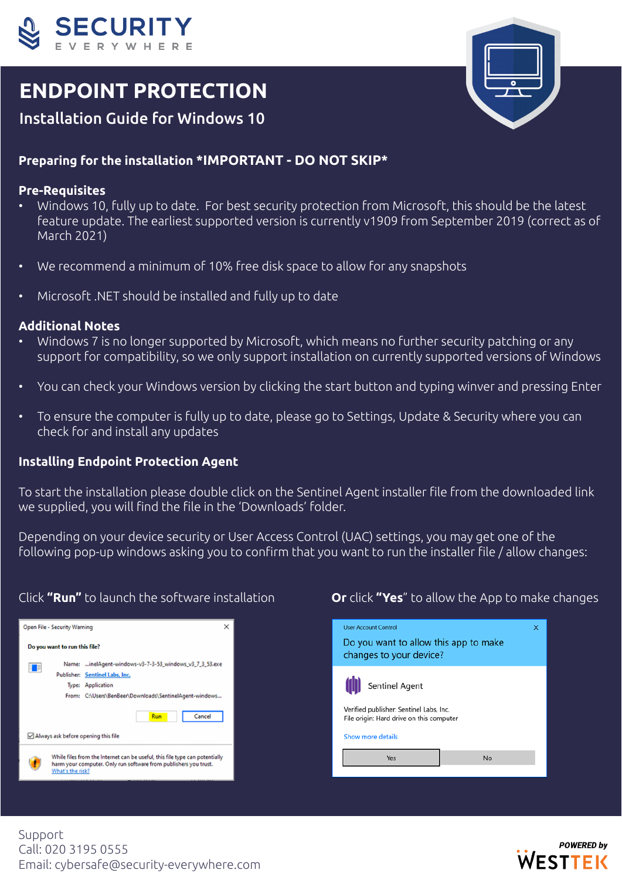

# **ENDPOINT PROTECTION**



## Installation Guide for Windows 10

### **Preparing for the installation \*IMPORTANT - DO NOT SKIP\***

#### **Pre-Requisites**

- Windows 10, fully up to date. For best security protection from Microsoft, this should be the latest feature update. The earliest supported version is currently v1909 from September 2019 (correct as of March 2021)
- We recommend a minimum of 10% free disk space to allow for any snapshots
- Microsoft .NET should be installed and fully up to date

#### **Additional Notes**

- Windows 7 is no longer supported by Microsoft, which means no further security patching or any support for compatibility, so we only support installation on currently supported versions of Windows
- You can check your Windows version by clicking the start button and typing winver and pressing Enter
- To ensure the computer is fully up to date, please go to Settings, Update & Security where you can check for and install any updates

#### **Installing Endpoint Protection Agent**

To start the installation please double click on the Sentinel Agent installer file from the downloaded link we supplied, you will find the file in the 'Downloads' folder.

Depending on your device security or User Access Control (UAC) settings, you may get one of the following pop-up windows asking you to confirm that you want to run the installer file / allow changes:



#### Click **"Run"** to launch the software installation **Or** click **"Yes**" to allow the App to make changes



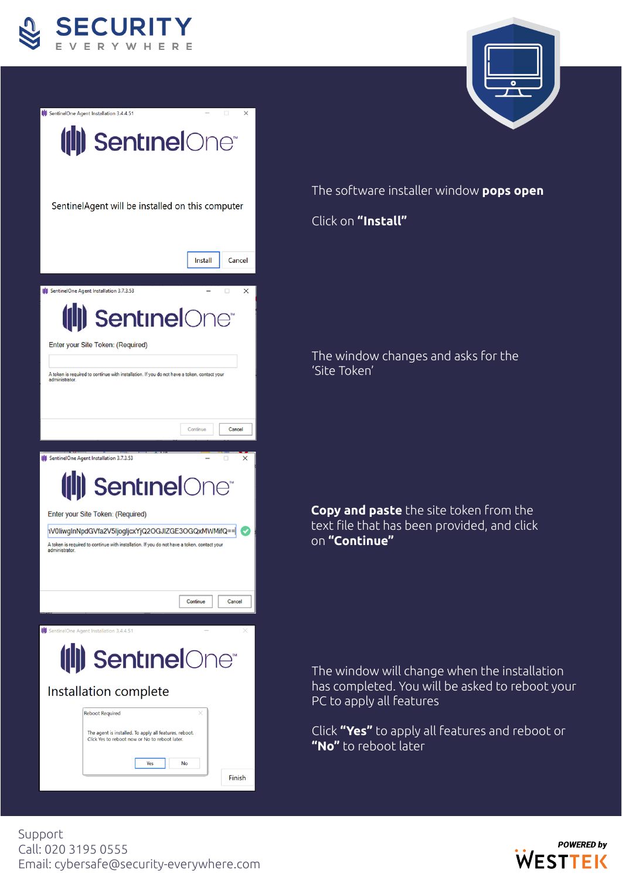





The software installer window **pops open**

Click on **"Install"**

The window changes and asks for the 'Site Token'

**Copy and paste** the site token from the text file that has been provided, and click on **"Continue"**

The window will change when the installation has completed. You will be asked to reboot your PC to apply all features

Click **"Yes"** to apply all features and reboot or **"No"** to reboot later

Support Call: 020 3195 0555 Email: cybersafe@security-everywhere.com